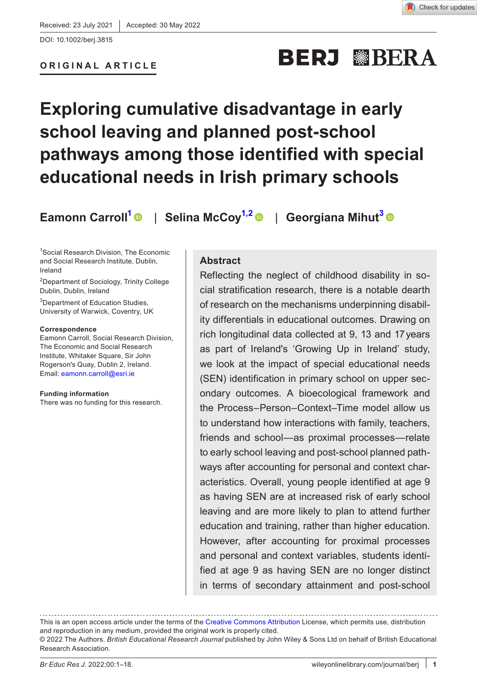### **ORIGINAL ARTICLE**

# **BERJ WBERA**

## **Exploring cumulative disadvantage in early school leaving and planned post-school pathways among those identified with special educational needs in Irish primary schools**

**Eamonn Carroll<sup>1</sup> | Selina McCoy<sup>1,2</sup> | Georgiana Mihut<sup>[3](#page-0-1)</sup> | ©** 

<span id="page-0-0"></span>1 Social Research Division, The Economic and Social Research Institute, Dublin, Ireland

2 Department of Sociology, Trinity College Dublin, Dublin, Ireland

<span id="page-0-1"></span>3 Department of Education Studies, University of Warwick, Coventry, UK

#### **Correspondence**

Eamonn Carroll, Social Research Division, The Economic and Social Research Institute, Whitaker Square, Sir John Rogerson's Quay, Dublin 2, Ireland. Email: [eamonn.carroll@esri.ie](mailto:eamonn.carroll@esri.ie)

**Funding information** There was no funding for this research.

#### **Abstract**

Reflecting the neglect of childhood disability in social stratification research, there is a notable dearth of research on the mechanisms underpinning disability differentials in educational outcomes. Drawing on rich longitudinal data collected at 9, 13 and 17years as part of Ireland's 'Growing Up in Ireland' study, we look at the impact of special educational needs (SEN) identification in primary school on upper secondary outcomes. A bioecological framework and the Process–Person–Context–Time model allow us to understand how interactions with family, teachers, friends and school—as proximal processes—relate to early school leaving and post-school planned pathways after accounting for personal and context characteristics. Overall, young people identified at age 9 as having SEN are at increased risk of early school leaving and are more likely to plan to attend further education and training, rather than higher education. However, after accounting for proximal processes and personal and context variables, students identified at age 9 as having SEN are no longer distinct in terms of secondary attainment and post-school

This is an open access article under the terms of the [Creative Commons Attribution](http://creativecommons.org/licenses/by/4.0/) License, which permits use, distribution and reproduction in any medium, provided the original work is properly cited.

<sup>© 2022</sup> The Authors. *British Educational Research Journal* published by John Wiley & Sons Ltd on behalf of British Educational Research Association.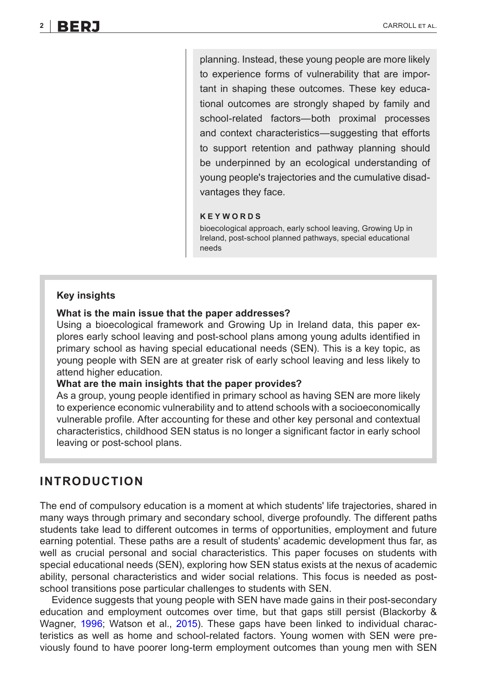planning. Instead, these young people are more likely to experience forms of vulnerability that are important in shaping these outcomes. These key educational outcomes are strongly shaped by family and school-related factors—both proximal processes and context characteristics—suggesting that efforts to support retention and pathway planning should be underpinned by an ecological understanding of young people's trajectories and the cumulative disadvantages they face.

#### **KEYWORDS**

bioecological approach, early school leaving, Growing Up in Ireland, post-school planned pathways, special educational needs

#### **Key insights**

#### **What is the main issue that the paper addresses?**

Using a bioecological framework and Growing Up in Ireland data, this paper explores early school leaving and post-school plans among young adults identified in primary school as having special educational needs (SEN). This is a key topic, as young people with SEN are at greater risk of early school leaving and less likely to attend higher education.

#### **What are the main insights that the paper provides?**

As a group, young people identified in primary school as having SEN are more likely to experience economic vulnerability and to attend schools with a socioeconomically vulnerable profile. After accounting for these and other key personal and contextual characteristics, childhood SEN status is no longer a significant factor in early school leaving or post-school plans.

#### **INTRODUCTION**

The end of compulsory education is a moment at which students' life trajectories, shared in many ways through primary and secondary school, diverge profoundly. The different paths students take lead to different outcomes in terms of opportunities, employment and future earning potential. These paths are a result of students' academic development thus far, as well as crucial personal and social characteristics. This paper focuses on students with special educational needs (SEN), exploring how SEN status exists at the nexus of academic ability, personal characteristics and wider social relations. This focus is needed as postschool transitions pose particular challenges to students with SEN.

Evidence suggests that young people with SEN have made gains in their post-secondary education and employment outcomes over time, but that gaps still persist (Blackorby & Wagner, [1996](#page-13-0); Watson et al., [2015\)](#page-17-0). These gaps have been linked to individual characteristics as well as home and school-related factors. Young women with SEN were previously found to have poorer long-term employment outcomes than young men with SEN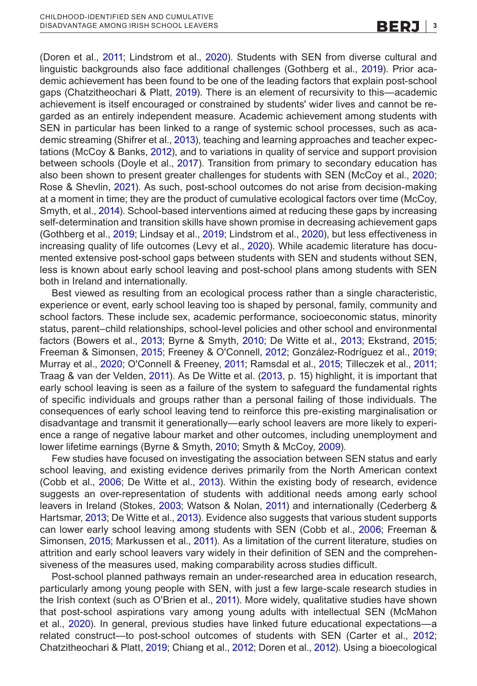(Doren et al., [2011;](#page-14-0) Lindstrom et al., [2020\)](#page-15-0). Students with SEN from diverse cultural and linguistic backgrounds also face additional challenges (Gothberg et al., [2019\)](#page-14-1). Prior academic achievement has been found to be one of the leading factors that explain post-school gaps (Chatzitheochari & Platt, [2019\)](#page-14-2). There is an element of recursivity to this—academic achievement is itself encouraged or constrained by students' wider lives and cannot be regarded as an entirely independent measure. Academic achievement among students with SEN in particular has been linked to a range of systemic school processes, such as academic streaming (Shifrer et al., [2013](#page-16-0)), teaching and learning approaches and teacher expectations (McCoy & Banks, [2012](#page-15-1)), and to variations in quality of service and support provision between schools (Doyle et al., [2017\)](#page-14-3). Transition from primary to secondary education has also been shown to present greater challenges for students with SEN (McCoy et al., [2020](#page-15-2); Rose & Shevlin, [2021](#page-16-1)). As such, post-school outcomes do not arise from decision-making at a moment in time; they are the product of cumulative ecological factors over time (McCoy, Smyth, et al., [2014](#page-15-3)). School-based interventions aimed at reducing these gaps by increasing self-determination and transition skills have shown promise in decreasing achievement gaps (Gothberg et al., [2019;](#page-14-1) Lindsay et al., [2019;](#page-15-4) Lindstrom et al., [2020\)](#page-15-0), but less effectiveness in increasing quality of life outcomes (Levy et al., [2020\)](#page-15-5). While academic literature has documented extensive post-school gaps between students with SEN and students without SEN, less is known about early school leaving and post-school plans among students with SEN both in Ireland and internationally.

Best viewed as resulting from an ecological process rather than a single characteristic, experience or event, early school leaving too is shaped by personal, family, community and school factors. These include sex, academic performance, socioeconomic status, minority status, parent–child relationships, school-level policies and other school and environmental factors (Bowers et al., [2013;](#page-13-1) Byrne & Smyth, [2010](#page-14-4); De Witte et al., [2013;](#page-14-5) Ekstrand, [2015](#page-14-6); Freeman & Simonsen, [2015](#page-14-7); Freeney & O'Connell, [2012](#page-14-8); González-Rodríguez et al., [2019](#page-14-9); Murray et al., [2020](#page-16-2); O'Connell & Freeney, [2011;](#page-16-3) Ramsdal et al., [2015;](#page-16-4) Tilleczek et al., [2011](#page-16-5); Traag & van der Velden, [2011](#page-16-6)). As De Witte et al. [\(2013](#page-14-5), p. 15) highlight, it is important that early school leaving is seen as a failure of the system to safeguard the fundamental rights of specific individuals and groups rather than a personal failing of those individuals. The consequences of early school leaving tend to reinforce this pre-existing marginalisation or disadvantage and transmit it generationally—early school leavers are more likely to experience a range of negative labour market and other outcomes, including unemployment and lower lifetime earnings (Byrne & Smyth, [2010;](#page-14-4) Smyth & McCoy, [2009\)](#page-16-7).

Few studies have focused on investigating the association between SEN status and early school leaving, and existing evidence derives primarily from the North American context (Cobb et al., [2006](#page-14-10); De Witte et al., [2013](#page-14-5)). Within the existing body of research, evidence suggests an over-representation of students with additional needs among early school leavers in Ireland (Stokes, [2003;](#page-16-8) Watson & Nolan, [2011\)](#page-17-1) and internationally (Cederberg & Hartsmar, [2013](#page-14-11); De Witte et al., [2013](#page-14-5)). Evidence also suggests that various student supports can lower early school leaving among students with SEN (Cobb et al., [2006](#page-14-10); Freeman & Simonsen, [2015](#page-14-7); Markussen et al., [2011\)](#page-15-6). As a limitation of the current literature, studies on attrition and early school leavers vary widely in their definition of SEN and the comprehensiveness of the measures used, making comparability across studies difficult.

Post-school planned pathways remain an under-researched area in education research, particularly among young people with SEN, with just a few large-scale research studies in the Irish context (such as O'Brien et al., [2011](#page-16-9)). More widely, qualitative studies have shown that post-school aspirations vary among young adults with intellectual SEN (McMahon et al., [2020\)](#page-15-7). In general, previous studies have linked future educational expectations—a related construct—to post-school outcomes of students with SEN (Carter et al., [2012](#page-14-12); Chatzitheochari & Platt, [2019;](#page-14-2) Chiang et al., [2012;](#page-14-13) Doren et al., [2012\)](#page-14-14). Using a bioecological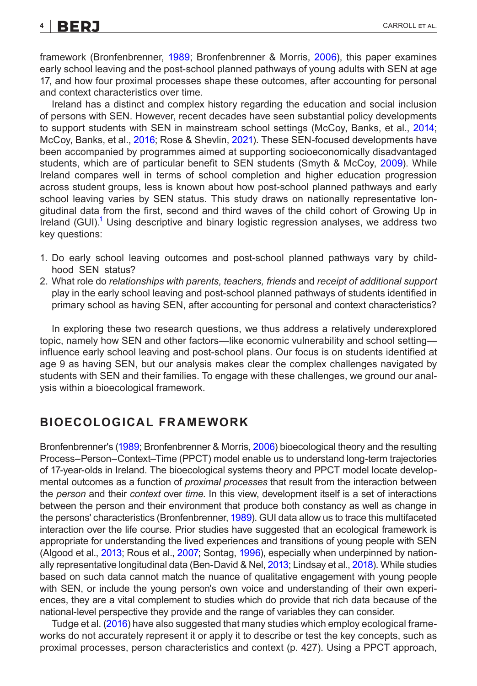framework (Bronfenbrenner, [1989](#page-14-15); Bronfenbrenner & Morris, [2006](#page-14-16)), this paper examines early school leaving and the post-school planned pathways of young adults with SEN at age 17, and how four proximal processes shape these outcomes, after accounting for personal and context characteristics over time.

Ireland has a distinct and complex history regarding the education and social inclusion of persons with SEN. However, recent decades have seen substantial policy developments to support students with SEN in mainstream school settings (McCoy, Banks, et al., [2014](#page-15-8); McCoy, Banks, et al., [2016](#page-15-9); Rose & Shevlin, [2021](#page-16-1)). These SEN-focused developments have been accompanied by programmes aimed at supporting socioeconomically disadvantaged students, which are of particular benefit to SEN students (Smyth & McCoy, [2009](#page-16-7)). While Ireland compares well in terms of school completion and higher education progression across student groups, less is known about how post-school planned pathways and early school leaving varies by SEN status. This study draws on nationally representative longitudinal data from the first, second and third waves of the child cohort of Growing Up in Ireland (GUI).<sup>1</sup> Using descriptive and binary logistic regression analyses, we address two key questions:

- 1. Do early school leaving outcomes and post-school planned pathways vary by childhood SEN status?
- 2. What role do *relationships with parents, teachers, friends* and *receipt of additional support* play in the early school leaving and post-school planned pathways of students identified in primary school as having SEN, after accounting for personal and context characteristics?

In exploring these two research questions, we thus address a relatively underexplored topic, namely how SEN and other factors—like economic vulnerability and school setting influence early school leaving and post-school plans. Our focus is on students identified at age 9 as having SEN, but our analysis makes clear the complex challenges navigated by students with SEN and their families. To engage with these challenges, we ground our analysis within a bioecological framework.

### **BIOECOLOGICAL FRAMEWORK**

Bronfenbrenner's [\(1989](#page-14-15); Bronfenbrenner & Morris, [2006](#page-14-16)) bioecological theory and the resulting Process–Person–Context–Time (PPCT) model enable us to understand long-term trajectories of 17-year-olds in Ireland. The bioecological systems theory and PPCT model locate developmental outcomes as a function of *proximal processes* that result from the interaction between the *person* and their *context* over *time*. In this view, development itself is a set of interactions between the person and their environment that produce both constancy as well as change in the persons' characteristics (Bronfenbrenner, [1989\)](#page-14-15). GUI data allow us to trace this multifaceted interaction over the life course. Prior studies have suggested that an ecological framework is appropriate for understanding the lived experiences and transitions of young people with SEN (Algood et al., [2013;](#page-13-3) Rous et al., [2007](#page-16-10); Sontag, [1996](#page-16-11)), especially when underpinned by nationally representative longitudinal data (Ben-David & Nel, [2013](#page-13-4); Lindsay et al., [2018\)](#page-15-10). While studies based on such data cannot match the nuance of qualitative engagement with young people with SEN, or include the young person's own voice and understanding of their own experiences, they are a vital complement to studies which do provide that rich data because of the national-level perspective they provide and the range of variables they can consider.

Tudge et al. [\(2016](#page-16-12)) have also suggested that many studies which employ ecological frameworks do not accurately represent it or apply it to describe or test the key concepts, such as proximal processes, person characteristics and context (p. 427). Using a PPCT approach,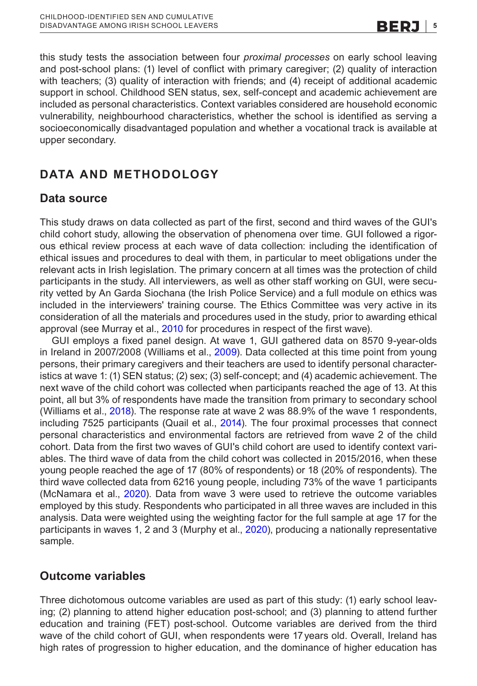this study tests the association between four *proximal processes* on early school leaving and post-school plans: (1) level of conflict with primary caregiver; (2) quality of interaction with teachers; (3) quality of interaction with friends; and (4) receipt of additional academic support in school. Childhood SEN status, sex, self-concept and academic achievement are included as personal characteristics. Context variables considered are household economic vulnerability, neighbourhood characteristics, whether the school is identified as serving a socioeconomically disadvantaged population and whether a vocational track is available at upper secondary.

### **DATA AND METHODOLOGY**

### **Data source**

This study draws on data collected as part of the first, second and third waves of the GUI's child cohort study, allowing the observation of phenomena over time. GUI followed a rigorous ethical review process at each wave of data collection: including the identification of ethical issues and procedures to deal with them, in particular to meet obligations under the relevant acts in Irish legislation. The primary concern at all times was the protection of child participants in the study. All interviewers, as well as other staff working on GUI, were security vetted by An Garda Siochana (the Irish Police Service) and a full module on ethics was included in the interviewers' training course. The Ethics Committee was very active in its consideration of all the materials and procedures used in the study, prior to awarding ethical approval (see Murray et al., [2010](#page-16-13) for procedures in respect of the first wave).

GUI employs a fixed panel design. At wave 1, GUI gathered data on 8570 9-year-olds in Ireland in 2007/2008 (Williams et al., [2009](#page-17-2)). Data collected at this time point from young persons, their primary caregivers and their teachers are used to identify personal characteristics at wave 1: (1) SEN status; (2) sex; (3) self-concept; and (4) academic achievement. The next wave of the child cohort was collected when participants reached the age of 13. At this point, all but 3% of respondents have made the transition from primary to secondary school (Williams et al., [2018\)](#page-17-3). The response rate at wave 2 was 88.9% of the wave 1 respondents, including 7525 participants (Quail et al., [2014](#page-16-14)). The four proximal processes that connect personal characteristics and environmental factors are retrieved from wave 2 of the child cohort. Data from the first two waves of GUI's child cohort are used to identify context variables. The third wave of data from the child cohort was collected in 2015/2016, when these young people reached the age of 17 (80% of respondents) or 18 (20% of respondents). The third wave collected data from 6216 young people, including 73% of the wave 1 participants (McNamara et al., [2020](#page-15-11)). Data from wave 3 were used to retrieve the outcome variables employed by this study. Respondents who participated in all three waves are included in this analysis. Data were weighted using the weighting factor for the full sample at age 17 for the participants in waves 1, 2 and 3 (Murphy et al., [2020\)](#page-15-12), producing a nationally representative sample.

### **Outcome variables**

Three dichotomous outcome variables are used as part of this study: (1) early school leaving; (2) planning to attend higher education post-school; and (3) planning to attend further education and training (FET) post-school. Outcome variables are derived from the third wave of the child cohort of GUI, when respondents were 17 years old. Overall, Ireland has high rates of progression to higher education, and the dominance of higher education has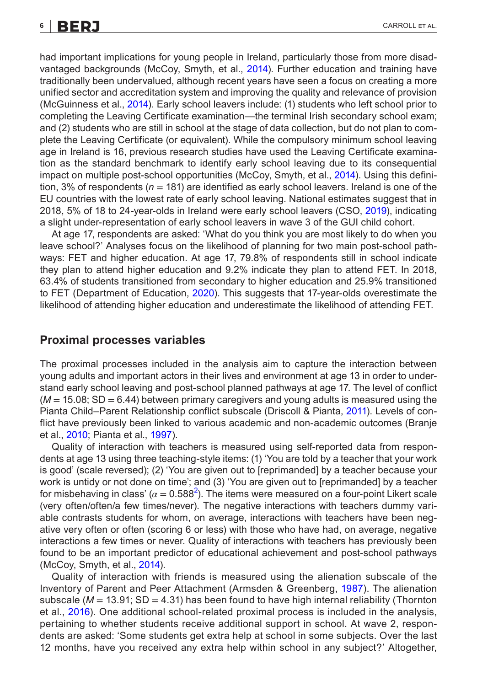had important implications for young people in Ireland, particularly those from more disadvantaged backgrounds (McCoy, Smyth, et al., [2014](#page-15-3)). Further education and training have traditionally been undervalued, although recent years have seen a focus on creating a more unified sector and accreditation system and improving the quality and relevance of provision (McGuinness et al., [2014\)](#page-15-13). Early school leavers include: (1) students who left school prior to completing the Leaving Certificate examination—the terminal Irish secondary school exam; and (2) students who are still in school at the stage of data collection, but do not plan to complete the Leaving Certificate (or equivalent). While the compulsory minimum school leaving age in Ireland is 16, previous research studies have used the Leaving Certificate examination as the standard benchmark to identify early school leaving due to its consequential impact on multiple post-school opportunities (McCoy, Smyth, et al., [2014](#page-15-3)). Using this definition, 3% of respondents (*n* = 181) are identified as early school leavers. Ireland is one of the EU countries with the lowest rate of early school leaving. National estimates suggest that in 2018, 5% of 18 to 24-year-olds in Ireland were early school leavers (CSO, [2019\)](#page-14-17), indicating

At age 17, respondents are asked: 'What do you think you are most likely to do when you leave school?' Analyses focus on the likelihood of planning for two main post-school pathways: FET and higher education. At age 17, 79.8% of respondents still in school indicate they plan to attend higher education and 9.2% indicate they plan to attend FET. In 2018, 63.4% of students transitioned from secondary to higher education and 25.9% transitioned to FET (Department of Education, [2020\)](#page-14-18). This suggests that 17-year-olds overestimate the likelihood of attending higher education and underestimate the likelihood of attending FET.

a slight under-representation of early school leavers in wave 3 of the GUI child cohort.

#### **Proximal processes variables**

The proximal processes included in the analysis aim to capture the interaction between young adults and important actors in their lives and environment at age 13 in order to understand early school leaving and post-school planned pathways at age 17. The level of conflict (*M* = 15.08; SD = 6.44) between primary caregivers and young adults is measured using the Pianta Child–Parent Relationship conflict subscale (Driscoll & Pianta, [2011\)](#page-14-19). Levels of conflict have previously been linked to various academic and non-academic outcomes (Branje et al., [2010](#page-14-20); Pianta et al., [1997\)](#page-16-15).

Quality of interaction with teachers is measured using self-reported data from respondents at age 13 using three teaching-style items: (1) 'You are told by a teacher that your work is good' (scale reversed); (2) 'You are given out to [reprimanded] by a teacher because your work is untidy or not done on time'; and (3) 'You are given out to [reprimanded] by a teacher for misbehaving in class' ( $\alpha$  = 0.588<sup>[2](#page-13-5)</sup>). The items were measured on a four-point Likert scale (very often/often/a few times/never). The negative interactions with teachers dummy variable contrasts students for whom, on average, interactions with teachers have been negative very often or often (scoring 6 or less) with those who have had, on average, negative interactions a few times or never. Quality of interactions with teachers has previously been found to be an important predictor of educational achievement and post-school pathways (McCoy, Smyth, et al., [2014](#page-15-3)).

Quality of interaction with friends is measured using the alienation subscale of the Inventory of Parent and Peer Attachment (Armsden & Greenberg, [1987](#page-13-6)). The alienation subscale ( $M = 13.91$ ; SD = 4.31) has been found to have high internal reliability (Thornton et al., [2016](#page-16-16)). One additional school-related proximal process is included in the analysis, pertaining to whether students receive additional support in school. At wave 2, respondents are asked: 'Some students get extra help at school in some subjects. Over the last 12 months, have you received any extra help within school in any subject?' Altogether,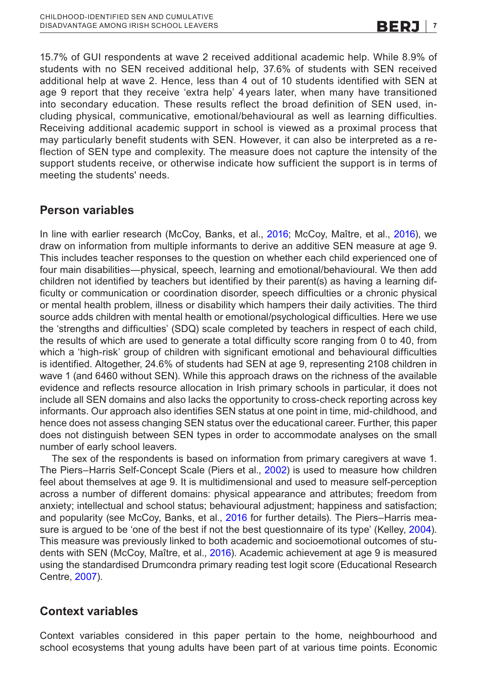15.7% of GUI respondents at wave 2 received additional academic help. While 8.9% of students with no SEN received additional help, 37.6% of students with SEN received additional help at wave 2. Hence, less than 4 out of 10 students identified with SEN at age 9 report that they receive 'extra help' 4 years later, when many have transitioned into secondary education. These results reflect the broad definition of SEN used, including physical, communicative, emotional/behavioural as well as learning difficulties. Receiving additional academic support in school is viewed as a proximal process that may particularly benefit students with SEN. However, it can also be interpreted as a reflection of SEN type and complexity. The measure does not capture the intensity of the support students receive, or otherwise indicate how sufficient the support is in terms of meeting the students' needs.

### **Person variables**

In line with earlier research (McCoy, Banks, et al., [2016](#page-15-9); McCoy, Maître, et al., [2016\)](#page-15-14), we draw on information from multiple informants to derive an additive SEN measure at age 9. This includes teacher responses to the question on whether each child experienced one of four main disabilities—physical, speech, learning and emotional/behavioural. We then add children not identified by teachers but identified by their parent(s) as having a learning difficulty or communication or coordination disorder, speech difficulties or a chronic physical or mental health problem, illness or disability which hampers their daily activities. The third source adds children with mental health or emotional/psychological difficulties. Here we use the 'strengths and difficulties' (SDQ) scale completed by teachers in respect of each child, the results of which are used to generate a total difficulty score ranging from 0 to 40, from which a 'high-risk' group of children with significant emotional and behavioural difficulties is identified. Altogether, 24.6% of students had SEN at age 9, representing 2108 children in wave 1 (and 6460 without SEN). While this approach draws on the richness of the available evidence and reflects resource allocation in Irish primary schools in particular, it does not include all SEN domains and also lacks the opportunity to cross-check reporting across key informants. Our approach also identifies SEN status at one point in time, mid-childhood, and hence does not assess changing SEN status over the educational career. Further, this paper does not distinguish between SEN types in order to accommodate analyses on the small number of early school leavers.

The sex of the respondents is based on information from primary caregivers at wave 1. The Piers–Harris Self-Concept Scale (Piers et al., [2002](#page-16-17)) is used to measure how children feel about themselves at age 9. It is multidimensional and used to measure self-perception across a number of different domains: physical appearance and attributes; freedom from anxiety; intellectual and school status; behavioural adjustment; happiness and satisfaction; and popularity (see McCoy, Banks, et al., [2016](#page-15-9) for further details). The Piers–Harris mea-sure is argued to be 'one of the best if not the best questionnaire of its type' (Kelley, [2004](#page-15-15)). This measure was previously linked to both academic and socioemotional outcomes of students with SEN (McCoy, Maître, et al., [2016\)](#page-15-14). Academic achievement at age 9 is measured using the standardised Drumcondra primary reading test logit score (Educational Research Centre, [2007\)](#page-14-21).

### **Context variables**

Context variables considered in this paper pertain to the home, neighbourhood and school ecosystems that young adults have been part of at various time points. Economic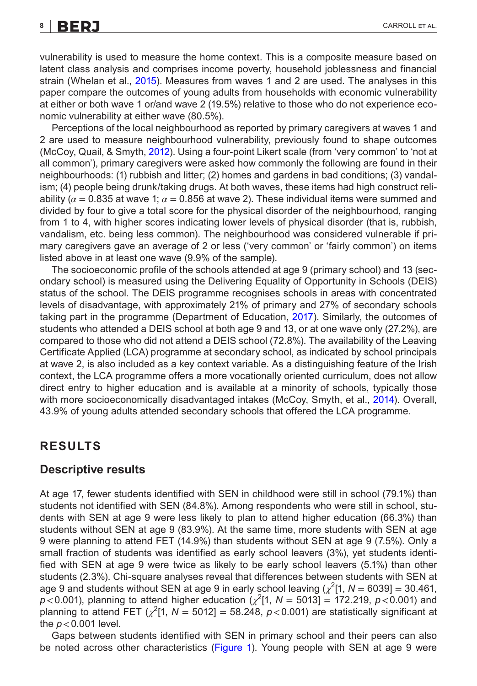### **8 |** CARROLL et al.

vulnerability is used to measure the home context. This is a composite measure based on latent class analysis and comprises income poverty, household joblessness and financial strain (Whelan et al., [2015\)](#page-17-4). Measures from waves 1 and 2 are used. The analyses in this paper compare the outcomes of young adults from households with economic vulnerability at either or both wave 1 or/and wave 2 (19.5%) relative to those who do not experience economic vulnerability at either wave (80.5%).

Perceptions of the local neighbourhood as reported by primary caregivers at waves 1 and 2 are used to measure neighbourhood vulnerability, previously found to shape outcomes (McCoy, Quail, & Smyth, [2012](#page-15-16)). Using a four-point Likert scale (from 'very common' to 'not at all common'), primary caregivers were asked how commonly the following are found in their neighbourhoods: (1) rubbish and litter; (2) homes and gardens in bad conditions; (3) vandalism; (4) people being drunk/taking drugs. At both waves, these items had high construct reliability ( $\alpha$  = 0.835 at wave 1;  $\alpha$  = 0.856 at wave 2). These individual items were summed and divided by four to give a total score for the physical disorder of the neighbourhood, ranging from 1 to 4, with higher scores indicating lower levels of physical disorder (that is, rubbish, vandalism, etc. being less common). The neighbourhood was considered vulnerable if primary caregivers gave an average of 2 or less ('very common' or 'fairly common') on items listed above in at least one wave (9.9% of the sample).

The socioeconomic profile of the schools attended at age 9 (primary school) and 13 (secondary school) is measured using the Delivering Equality of Opportunity in Schools (DEIS) status of the school. The DEIS programme recognises schools in areas with concentrated levels of disadvantage, with approximately 21% of primary and 27% of secondary schools taking part in the programme (Department of Education, [2017\)](#page-14-22). Similarly, the outcomes of students who attended a DEIS school at both age 9 and 13, or at one wave only (27.2%), are compared to those who did not attend a DEIS school (72.8%). The availability of the Leaving Certificate Applied (LCA) programme at secondary school, as indicated by school principals at wave 2, is also included as a key context variable. As a distinguishing feature of the Irish context, the LCA programme offers a more vocationally oriented curriculum, does not allow direct entry to higher education and is available at a minority of schools, typically those with more socioeconomically disadvantaged intakes (McCoy, Smyth, et al., [2014](#page-15-3)). Overall, 43.9% of young adults attended secondary schools that offered the LCA programme.

### **RESULTS**

### **Descriptive results**

At age 17, fewer students identified with SEN in childhood were still in school (79.1%) than students not identified with SEN (84.8%). Among respondents who were still in school, students with SEN at age 9 were less likely to plan to attend higher education (66.3%) than students without SEN at age 9 (83.9%). At the same time, more students with SEN at age 9 were planning to attend FET (14.9%) than students without SEN at age 9 (7.5%). Only a small fraction of students was identified as early school leavers (3%), yet students identified with SEN at age 9 were twice as likely to be early school leavers (5.1%) than other students (2.3%). Chi-square analyses reveal that differences between students with SEN at age 9 and students without SEN at age 9 in early school leaving  $(\chi^2[1, N = 6039] = 30.461,$  $p$ <0.001), planning to attend higher education  $(\chi^2[1, N = 5013] = 172.219, p < 0.001)$  and planning to attend FET  $(\chi^2[1, N = 5012] = 58.248, p < 0.001)$  are statistically significant at the *p*<0.001 level.

Gaps between students identified with SEN in primary school and their peers can also be noted across other characteristics (Figure [1\)](#page-8-0). Young people with SEN at age 9 were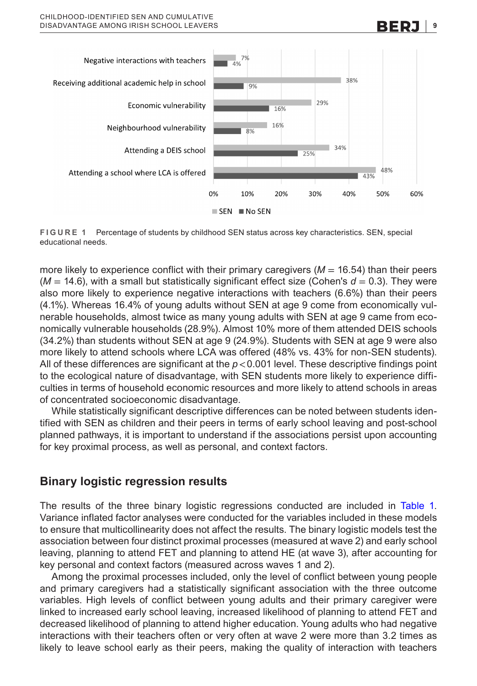

<span id="page-8-0"></span>**FIGURE 1** Percentage of students by childhood SEN status across key characteristics. SEN, special educational needs.

more likely to experience conflict with their primary caregivers  $(M = 16.54)$  than their peers  $(M = 14.6)$ , with a small but statistically significant effect size (Cohen's  $d = 0.3$ ). They were also more likely to experience negative interactions with teachers (6.6%) than their peers (4.1%). Whereas 16.4% of young adults without SEN at age 9 come from economically vulnerable households, almost twice as many young adults with SEN at age 9 came from economically vulnerable households (28.9%). Almost 10% more of them attended DEIS schools (34.2%) than students without SEN at age 9 (24.9%). Students with SEN at age 9 were also more likely to attend schools where LCA was offered (48% vs. 43% for non-SEN students). All of these differences are significant at the *p*<0.001 level. These descriptive findings point to the ecological nature of disadvantage, with SEN students more likely to experience difficulties in terms of household economic resources and more likely to attend schools in areas of concentrated socioeconomic disadvantage.

While statistically significant descriptive differences can be noted between students identified with SEN as children and their peers in terms of early school leaving and post-school planned pathways, it is important to understand if the associations persist upon accounting for key proximal process, as well as personal, and context factors.

### **Binary logistic regression results**

The results of the three binary logistic regressions conducted are included in Table [1](#page-9-0). Variance inflated factor analyses were conducted for the variables included in these models to ensure that multicollinearity does not affect the results. The binary logistic models test the association between four distinct proximal processes (measured at wave 2) and early school leaving, planning to attend FET and planning to attend HE (at wave 3), after accounting for key personal and context factors (measured across waves 1 and 2).

Among the proximal processes included, only the level of conflict between young people and primary caregivers had a statistically significant association with the three outcome variables. High levels of conflict between young adults and their primary caregiver were linked to increased early school leaving, increased likelihood of planning to attend FET and decreased likelihood of planning to attend higher education. Young adults who had negative interactions with their teachers often or very often at wave 2 were more than 3.2 times as likely to leave school early as their peers, making the quality of interaction with teachers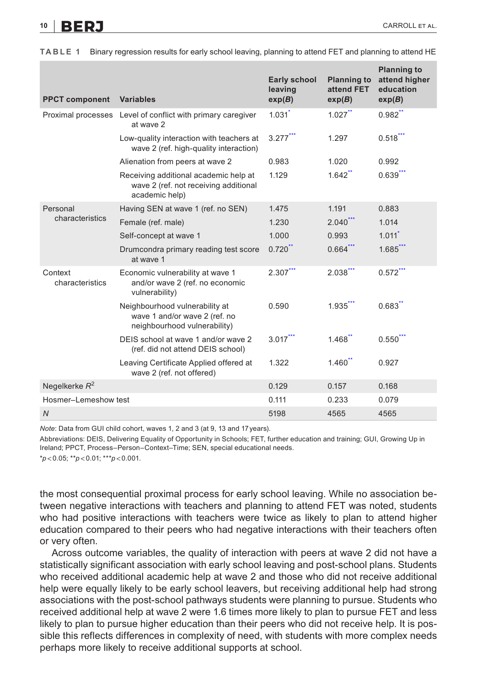10 **BERJ** CARROLL ET AL.

| <b>PPCT component</b>       | <b>Variables</b>                                                                                 | <b>Early school</b><br>leaving<br>exp(B) | <b>Planning to</b><br>attend FET<br>exp(B) | <b>Planning to</b><br>attend higher<br>education<br>exp(B) |
|-----------------------------|--------------------------------------------------------------------------------------------------|------------------------------------------|--------------------------------------------|------------------------------------------------------------|
| Proximal processes          | Level of conflict with primary caregiver<br>at wave 2                                            | 1.031                                    | 1.027                                      | $0.982$ **                                                 |
|                             | Low-quality interaction with teachers at<br>wave 2 (ref. high-quality interaction)               | $3.277$ ***                              | 1.297                                      | $0.518$ ***                                                |
|                             | Alienation from peers at wave 2                                                                  | 0.983                                    | 1.020                                      | 0.992                                                      |
|                             | Receiving additional academic help at<br>wave 2 (ref. not receiving additional<br>academic help) | 1.129                                    | $1.642$ **                                 | $0.639$ ***                                                |
| Personal<br>characteristics | Having SEN at wave 1 (ref. no SEN)                                                               | 1.475                                    | 1.191                                      | 0.883                                                      |
|                             | Female (ref. male)                                                                               | 1.230                                    | $2.040***$                                 | 1.014                                                      |
|                             | Self-concept at wave 1                                                                           | 1.000                                    | 0.993                                      | 1.011                                                      |
|                             | Drumcondra primary reading test score<br>at wave 1                                               | $0.720$ **                               | $0.664$ ***                                | $1.685$ <sup>***</sup>                                     |
| Context<br>characteristics  | Economic vulnerability at wave 1<br>and/or wave 2 (ref. no economic<br>vulnerability)            | $2.307$ ***                              | $2.038***$                                 | $0.572$ ***                                                |
|                             | Neighbourhood vulnerability at<br>wave 1 and/or wave 2 (ref. no<br>neighbourhood vulnerability)  | 0.590                                    | 1.935                                      | 0.683                                                      |
|                             | DEIS school at wave 1 and/or wave 2<br>(ref. did not attend DEIS school)                         | $3.017$ ***                              | 1.468                                      | $0.550$ ***                                                |
|                             | Leaving Certificate Applied offered at<br>wave 2 (ref. not offered)                              | 1.322                                    | $1.460$ **                                 | 0.927                                                      |
| Negelkerke $R^2$            |                                                                                                  | 0.129                                    | 0.157                                      | 0.168                                                      |
| Hosmer-Lemeshow test        |                                                                                                  | 0.111                                    | 0.233                                      | 0.079                                                      |
| $\overline{N}$              |                                                                                                  | 5198                                     | 4565                                       | 4565                                                       |

<span id="page-9-0"></span>**TABLE 1** Binary regression results for early school leaving, planning to attend FET and planning to attend HE

*Note*: Data from GUI child cohort, waves 1, 2 and 3 (at 9, 13 and 17years).

Abbreviations: DEIS, Delivering Equality of Opportunity in Schools; FET, further education and training; GUI, Growing Up in Ireland; PPCT, Process–Person–Context–Time; SEN, special educational needs.

<span id="page-9-3"></span><span id="page-9-2"></span><span id="page-9-1"></span>\**p*<0.05; \*\**p*<0.01; \*\*\**p*<0.001.

the most consequential proximal process for early school leaving. While no association between negative interactions with teachers and planning to attend FET was noted, students who had positive interactions with teachers were twice as likely to plan to attend higher education compared to their peers who had negative interactions with their teachers often or very often.

Across outcome variables, the quality of interaction with peers at wave 2 did not have a statistically significant association with early school leaving and post-school plans. Students who received additional academic help at wave 2 and those who did not receive additional help were equally likely to be early school leavers, but receiving additional help had strong associations with the post-school pathways students were planning to pursue. Students who received additional help at wave 2 were 1.6 times more likely to plan to pursue FET and less likely to plan to pursue higher education than their peers who did not receive help. It is possible this reflects differences in complexity of need, with students with more complex needs perhaps more likely to receive additional supports at school.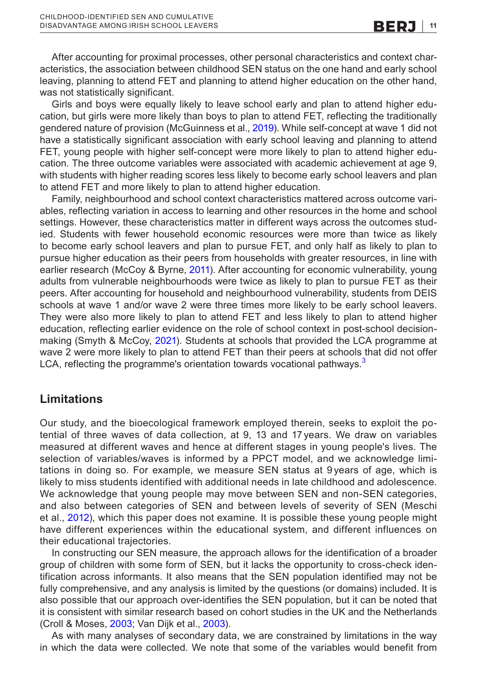After accounting for proximal processes, other personal characteristics and context characteristics, the association between childhood SEN status on the one hand and early school leaving, planning to attend FET and planning to attend higher education on the other hand, was not statistically significant.

Girls and boys were equally likely to leave school early and plan to attend higher education, but girls were more likely than boys to plan to attend FET, reflecting the traditionally gendered nature of provision (McGuinness et al., [2019](#page-15-17)). While self-concept at wave 1 did not have a statistically significant association with early school leaving and planning to attend FET, young people with higher self-concept were more likely to plan to attend higher education. The three outcome variables were associated with academic achievement at age 9, with students with higher reading scores less likely to become early school leavers and plan to attend FET and more likely to plan to attend higher education.

Family, neighbourhood and school context characteristics mattered across outcome variables, reflecting variation in access to learning and other resources in the home and school settings. However, these characteristics matter in different ways across the outcomes studied. Students with fewer household economic resources were more than twice as likely to become early school leavers and plan to pursue FET, and only half as likely to plan to pursue higher education as their peers from households with greater resources, in line with earlier research (McCoy & Byrne, [2011](#page-15-18)). After accounting for economic vulnerability, young adults from vulnerable neighbourhoods were twice as likely to plan to pursue FET as their peers. After accounting for household and neighbourhood vulnerability, students from DEIS schools at wave 1 and/or wave 2 were three times more likely to be early school leavers. They were also more likely to plan to attend FET and less likely to plan to attend higher education, reflecting earlier evidence on the role of school context in post-school decisionmaking (Smyth & McCoy, [2021](#page-16-18)). Students at schools that provided the LCA programme at wave 2 were more likely to plan to attend FET than their peers at schools that did not offer LCA, reflecting the programme's orientation towards vocational pathways. $3$ 

### **Limitations**

Our study, and the bioecological framework employed therein, seeks to exploit the potential of three waves of data collection, at 9, 13 and 17 years. We draw on variables measured at different waves and hence at different stages in young people's lives. The selection of variables/waves is informed by a PPCT model, and we acknowledge limitations in doing so. For example, we measure SEN status at 9 years of age, which is likely to miss students identified with additional needs in late childhood and adolescence. We acknowledge that young people may move between SEN and non-SEN categories, and also between categories of SEN and between levels of severity of SEN (Meschi et al., [2012\)](#page-15-19), which this paper does not examine. It is possible these young people might have different experiences within the educational system, and different influences on their educational trajectories.

In constructing our SEN measure, the approach allows for the identification of a broader group of children with some form of SEN, but it lacks the opportunity to cross-check identification across informants. It also means that the SEN population identified may not be fully comprehensive, and any analysis is limited by the questions (or domains) included. It is also possible that our approach over-identifies the SEN population, but it can be noted that it is consistent with similar research based on cohort studies in the UK and the Netherlands (Croll & Moses, [2003](#page-14-23); Van Dijk et al., [2003\)](#page-16-19).

As with many analyses of secondary data, we are constrained by limitations in the way in which the data were collected. We note that some of the variables would benefit from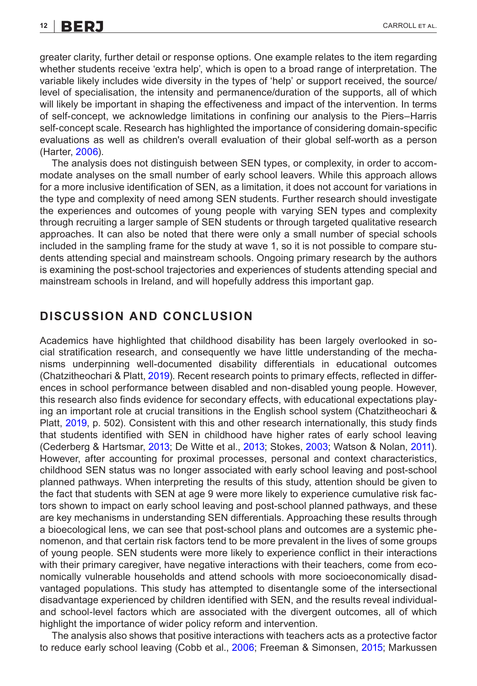greater clarity, further detail or response options. One example relates to the item regarding whether students receive 'extra help', which is open to a broad range of interpretation. The variable likely includes wide diversity in the types of 'help' or support received, the source/ level of specialisation, the intensity and permanence/duration of the supports, all of which will likely be important in shaping the effectiveness and impact of the intervention. In terms of self-concept, we acknowledge limitations in confining our analysis to the Piers–Harris self-concept scale. Research has highlighted the importance of considering domain-specific evaluations as well as children's overall evaluation of their global self-worth as a person (Harter, [2006\)](#page-14-24).

The analysis does not distinguish between SEN types, or complexity, in order to accommodate analyses on the small number of early school leavers. While this approach allows for a more inclusive identification of SEN, as a limitation, it does not account for variations in the type and complexity of need among SEN students. Further research should investigate the experiences and outcomes of young people with varying SEN types and complexity through recruiting a larger sample of SEN students or through targeted qualitative research approaches. It can also be noted that there were only a small number of special schools included in the sampling frame for the study at wave 1, so it is not possible to compare students attending special and mainstream schools. Ongoing primary research by the authors is examining the post-school trajectories and experiences of students attending special and mainstream schools in Ireland, and will hopefully address this important gap.

### **DISCUSSION AND CONCLUSION**

Academics have highlighted that childhood disability has been largely overlooked in social stratification research, and consequently we have little understanding of the mechanisms underpinning well-documented disability differentials in educational outcomes (Chatzitheochari & Platt, [2019](#page-14-2)). Recent research points to primary effects, reflected in differences in school performance between disabled and non-disabled young people. However, this research also finds evidence for secondary effects, with educational expectations playing an important role at crucial transitions in the English school system (Chatzitheochari & Platt, [2019](#page-14-2), p. 502). Consistent with this and other research internationally, this study finds that students identified with SEN in childhood have higher rates of early school leaving (Cederberg & Hartsmar, [2013](#page-14-11); De Witte et al., [2013;](#page-14-5) Stokes, [2003](#page-16-8); Watson & Nolan, [2011](#page-17-1)). However, after accounting for proximal processes, personal and context characteristics, childhood SEN status was no longer associated with early school leaving and post-school planned pathways. When interpreting the results of this study, attention should be given to the fact that students with SEN at age 9 were more likely to experience cumulative risk factors shown to impact on early school leaving and post-school planned pathways, and these are key mechanisms in understanding SEN differentials. Approaching these results through a bioecological lens, we can see that post-school plans and outcomes are a systemic phenomenon, and that certain risk factors tend to be more prevalent in the lives of some groups of young people. SEN students were more likely to experience conflict in their interactions with their primary caregiver, have negative interactions with their teachers, come from economically vulnerable households and attend schools with more socioeconomically disadvantaged populations. This study has attempted to disentangle some of the intersectional disadvantage experienced by children identified with SEN, and the results reveal individualand school-level factors which are associated with the divergent outcomes, all of which highlight the importance of wider policy reform and intervention.

The analysis also shows that positive interactions with teachers acts as a protective factor to reduce early school leaving (Cobb et al., [2006](#page-14-10); Freeman & Simonsen, [2015;](#page-14-7) Markussen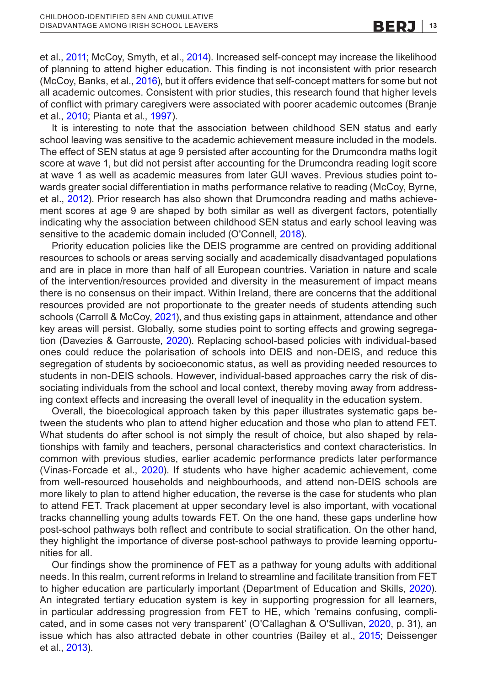et al., [2011;](#page-15-6) McCoy, Smyth, et al., [2014](#page-15-3)). Increased self-concept may increase the likelihood of planning to attend higher education. This finding is not inconsistent with prior research (McCoy, Banks, et al., [2016\)](#page-15-9), but it offers evidence that self-concept matters for some but not all academic outcomes. Consistent with prior studies, this research found that higher levels of conflict with primary caregivers were associated with poorer academic outcomes (Branje et al., [2010](#page-14-20); Pianta et al., [1997\)](#page-16-15).

It is interesting to note that the association between childhood SEN status and early school leaving was sensitive to the academic achievement measure included in the models. The effect of SEN status at age 9 persisted after accounting for the Drumcondra maths logit score at wave 1, but did not persist after accounting for the Drumcondra reading logit score at wave 1 as well as academic measures from later GUI waves. Previous studies point towards greater social differentiation in maths performance relative to reading (McCoy, Byrne, et al., [2012\)](#page-15-20). Prior research has also shown that Drumcondra reading and maths achievement scores at age 9 are shaped by both similar as well as divergent factors, potentially indicating why the association between childhood SEN status and early school leaving was sensitive to the academic domain included (O'Connell, [2018\)](#page-16-20).

Priority education policies like the DEIS programme are centred on providing additional resources to schools or areas serving socially and academically disadvantaged populations and are in place in more than half of all European countries. Variation in nature and scale of the intervention/resources provided and diversity in the measurement of impact means there is no consensus on their impact. Within Ireland, there are concerns that the additional resources provided are not proportionate to the greater needs of students attending such schools (Carroll & McCoy, [2021\)](#page-14-25), and thus existing gaps in attainment, attendance and other key areas will persist. Globally, some studies point to sorting effects and growing segregation (Davezies & Garrouste, [2020](#page-14-26)). Replacing school-based policies with individual-based ones could reduce the polarisation of schools into DEIS and non-DEIS, and reduce this segregation of students by socioeconomic status, as well as providing needed resources to students in non-DEIS schools. However, individual-based approaches carry the risk of dissociating individuals from the school and local context, thereby moving away from addressing context effects and increasing the overall level of inequality in the education system.

Overall, the bioecological approach taken by this paper illustrates systematic gaps between the students who plan to attend higher education and those who plan to attend FET. What students do after school is not simply the result of choice, but also shaped by relationships with family and teachers, personal characteristics and context characteristics. In common with previous studies, earlier academic performance predicts later performance (Vinas-Forcade et al., [2020](#page-16-21)). If students who have higher academic achievement, come from well-resourced households and neighbourhoods, and attend non-DEIS schools are more likely to plan to attend higher education, the reverse is the case for students who plan to attend FET. Track placement at upper secondary level is also important, with vocational tracks channelling young adults towards FET. On the one hand, these gaps underline how post-school pathways both reflect and contribute to social stratification. On the other hand, they highlight the importance of diverse post-school pathways to provide learning opportunities for all.

Our findings show the prominence of FET as a pathway for young adults with additional needs. In this realm, current reforms in Ireland to streamline and facilitate transition from FET to higher education are particularly important (Department of Education and Skills, [2020](#page-14-27)). An integrated tertiary education system is key in supporting progression for all learners, in particular addressing progression from FET to HE, which 'remains confusing, complicated, and in some cases not very transparent' (O'Callaghan & O'Sullivan, [2020](#page-16-22), p. 31), an issue which has also attracted debate in other countries (Bailey et al., [2015;](#page-13-8) Deissenger et al., [2013\)](#page-14-28).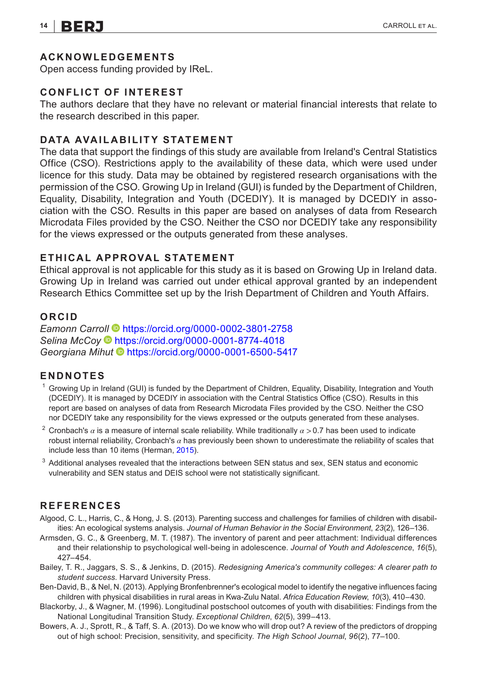#### **ACKNOWLEDGEMENTS**

Open access funding provided by IReL.

#### **CONFLICT OF INTEREST**

The authors declare that they have no relevant or material financial interests that relate to the research described in this paper.

#### **DATA AVAILABILITY STATEMENT**

The data that support the findings of this study are available from Ireland's Central Statistics Office (CSO). Restrictions apply to the availability of these data, which were used under licence for this study. Data may be obtained by registered research organisations with the permission of the CSO. Growing Up in Ireland (GUI) is funded by the Department of Children, Equality, Disability, Integration and Youth (DCEDIY). It is managed by DCEDIY in association with the CSO. Results in this paper are based on analyses of data from Research Microdata Files provided by the CSO. Neither the CSO nor DCEDIY take any responsibility for the views expressed or the outputs generated from these analyses.

#### **ETHICAL APPROVAL STATEMENT**

Ethical approval is not applicable for this study as it is based on Growing Up in Ireland data. Growing Up in Ireland was carried out under ethical approval granted by an independent Research Ethics Committee set up by the Irish Department of Children and Youth Affairs.

#### **ORCID**

*Eamonn Carr[oll](https://orcid.org/0000-0001-8774-4018)* <https://orcid.org/0000-0002-3801-2758> *Selina McCoy* <https://orcid.org/0000-0001-8774-4018> *Georgiana Mihut* <https://orcid.org/0000-0001-6500-5417>

#### **ENDNOTES**

- <span id="page-13-2"></span> $1$  Growing Up in Ireland (GUI) is funded by the Department of Children, Equality, Disability, Integration and Youth (DCEDIY). It is managed by DCEDIY in association with the Central Statistics Office (CSO). Results in this report are based on analyses of data from Research Microdata Files provided by the CSO. Neither the CSO nor DCEDIY take any responsibility for the views expressed or the outputs generated from these analyses.
- <span id="page-13-5"></span><sup>2</sup> Cronbach's *α* is a measure of internal scale reliability. While traditionally *α* >0.7 has been used to indicate robust internal reliability, Cronbach's *α* has previously been shown to underestimate the reliability of scales that include less than 10 items (Herman, [2015](#page-15-21)).
- <span id="page-13-7"></span> $3$  Additional analyses revealed that the interactions between SEN status and sex, SEN status and economic vulnerability and SEN status and DEIS school were not statistically significant.

#### **REFERENCES**

- <span id="page-13-3"></span>Algood, C. L., Harris, C., & Hong, J. S. (2013). Parenting success and challenges for families of children with disabilities: An ecological systems analysis. *Journal of Human Behavior in the Social Environment*, *23*(2), 126–136.
- <span id="page-13-6"></span>Armsden, G. C., & Greenberg, M. T. (1987). The inventory of parent and peer attachment: Individual differences and their relationship to psychological well-being in adolescence. *Journal of Youth and Adolescence*, *16*(5), 427–454.
- <span id="page-13-8"></span>Bailey, T. R., Jaggars, S. S., & Jenkins, D. (2015). *Redesigning America's community colleges: A clearer path to student success*. Harvard University Press.
- <span id="page-13-4"></span>Ben-David, B., & Nel, N. (2013). Applying Bronfenbrenner's ecological model to identify the negative influences facing children with physical disabilities in rural areas in Kwa-Zulu Natal. *Africa Education Review*, *10*(3), 410–430.
- <span id="page-13-0"></span>Blackorby, J., & Wagner, M. (1996). Longitudinal postschool outcomes of youth with disabilities: Findings from the National Longitudinal Transition Study. *Exceptional Children*, *62*(5), 399–413.
- <span id="page-13-1"></span>Bowers, A. J., Sprott, R., & Taff, S. A. (2013). Do we know who will drop out? A review of the predictors of dropping out of high school: Precision, sensitivity, and specificity. *The High School Journal*, *96*(2), 77–100.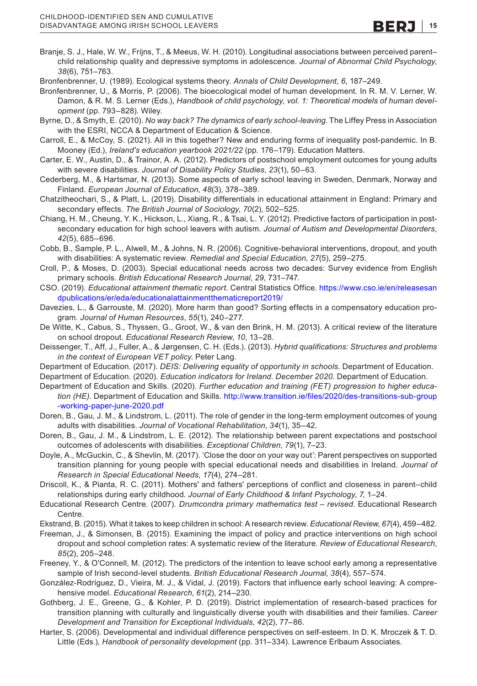<span id="page-14-20"></span>Branje, S. J., Hale, W. W., Frijns, T., & Meeus, W. H. (2010). Longitudinal associations between perceived parent– child relationship quality and depressive symptoms in adolescence. *Journal of Abnormal Child Psychology*, *38*(6), 751–763.

<span id="page-14-15"></span>Bronfenbrenner, U. (1989). Ecological systems theory. *Annals of Child Development*, *6*, 187–249.

<span id="page-14-16"></span>Bronfenbrenner, U., & Morris, P. (2006). The bioecological model of human development. In R. M. V. Lerner, W. Damon, & R. M. S. Lerner (Eds.), *Handbook of child psychology, vol. 1: Theoretical models of human development* (pp. 793–828). Wiley.

<span id="page-14-4"></span>Byrne, D., & Smyth, E. (2010). *No way back? The dynamics of early school-leaving*. The Liffey Press in Association with the ESRI, NCCA & Department of Education & Science.

<span id="page-14-25"></span>Carroll, E., & McCoy, S. (2021). All in this together? New and enduring forms of inequality post-pandemic. In B. Mooney (Ed.), *Ireland's education yearbook 2021/22* (pp. 176–179). Education Matters.

<span id="page-14-12"></span>Carter, E. W., Austin, D., & Trainor, A. A. (2012). Predictors of postschool employment outcomes for young adults with severe disabilities. *Journal of Disability Policy Studies*, *23*(1), 50–63.

<span id="page-14-11"></span>Cederberg, M., & Hartsmar, N. (2013). Some aspects of early school leaving in Sweden, Denmark, Norway and Finland. *European Journal of Education*, *48*(3), 378–389.

<span id="page-14-2"></span>Chatzitheochari, S., & Platt, L. (2019). Disability differentials in educational attainment in England: Primary and secondary effects. *The British Journal of Sociology*, *70*(2), 502–525.

<span id="page-14-13"></span>Chiang, H. M., Cheung, Y. K., Hickson, L., Xiang, R., & Tsai, L. Y. (2012). Predictive factors of participation in postsecondary education for high school leavers with autism. *Journal of Autism and Developmental Disorders*, *42*(5), 685–696.

<span id="page-14-10"></span>Cobb, B., Sample, P. L., Alwell, M., & Johns, N. R. (2006). Cognitive-behavioral interventions, dropout, and youth with disabilities: A systematic review. *Remedial and Special Education*, *27*(5), 259–275.

<span id="page-14-23"></span>Croll, P., & Moses, D. (2003). Special educational needs across two decades: Survey evidence from English primary schools. *British Educational Research Journal*, *29*, 731–747.

<span id="page-14-17"></span>CSO. (2019). *Educational attainment thematic report*. Central Statistics Office. [https://www.cso.ie/en/releasesan](https://www.cso.ie/en/releasesandpublications/er/eda/educationalattainmentthematicreport2019/) [dpublications/er/eda/educationalattainmentthematicreport2019/](https://www.cso.ie/en/releasesandpublications/er/eda/educationalattainmentthematicreport2019/)

<span id="page-14-26"></span>Davezies, L., & Garrouste, M. (2020). More harm than good? Sorting effects in a compensatory education program. *Journal of Human Resources*, *55*(1), 240–277.

<span id="page-14-5"></span>De Witte, K., Cabus, S., Thyssen, G., Groot, W., & van den Brink, H. M. (2013). A critical review of the literature on school dropout. *Educational Research Review*, *10*, 13–28.

<span id="page-14-28"></span>Deissenger, T., Aff, J., Fuller, A., & Jørgensen, C. H. (Eds.). (2013). *Hybrid qualifications: Structures and problems in the context of European VET policy*. Peter Lang.

<span id="page-14-22"></span>Department of Education. (2017). *DEIS: Delivering equality of opportunity in schools*. Department of Education.

<span id="page-14-18"></span>Department of Education. (2020). *Education indicators for Ireland. December 2020*. Department of Education.

- <span id="page-14-27"></span>Department of Education and Skills. (2020). *Further education and training (FET) progression to higher education (HE)*. Department of Education and Skills. [http://www.transition.ie/files/2020/des-transitions-sub-group](http://www.transition.ie/files/2020/des-transitions-sub-group-working-paper-june-2020.pdf) [-working-paper-june-2020.pdf](http://www.transition.ie/files/2020/des-transitions-sub-group-working-paper-june-2020.pdf)
- <span id="page-14-0"></span>Doren, B., Gau, J. M., & Lindstrom, L. (2011). The role of gender in the long-term employment outcomes of young adults with disabilities. *Journal of Vocational Rehabilitation*, *34*(1), 35–42.
- <span id="page-14-14"></span>Doren, B., Gau, J. M., & Lindstrom, L. E. (2012). The relationship between parent expectations and postschool outcomes of adolescents with disabilities. *Exceptional Children*, *79*(1), 7–23.
- <span id="page-14-3"></span>Doyle, A., McGuckin, C., & Shevlin, M. (2017). 'Close the door on your way out': Parent perspectives on supported transition planning for young people with special educational needs and disabilities in Ireland. *Journal of Research in Special Educational Needs*, *17*(4), 274–281.

<span id="page-14-19"></span>Driscoll, K., & Pianta, R. C. (2011). Mothers' and fathers' perceptions of conflict and closeness in parent–child relationships during early childhood. *Journal of Early Childhood & Infant Psychology*, *7*, 1–24.

<span id="page-14-21"></span>Educational Research Centre. (2007). *Drumcondra primary mathematics test – revised*. Educational Research Centre.

<span id="page-14-6"></span>Ekstrand, B. (2015). What it takes to keep children in school: A research review. *Educational Review*, *67*(4), 459–482.

<span id="page-14-7"></span>Freeman, J., & Simonsen, B. (2015). Examining the impact of policy and practice interventions on high school dropout and school completion rates: A systematic review of the literature. *Review of Educational Research*, *85*(2), 205–248.

<span id="page-14-8"></span>Freeney, Y., & O'Connell, M. (2012). The predictors of the intention to leave school early among a representative sample of Irish second-level students. *British Educational Research Journal*, *38*(4), 557–574.

<span id="page-14-9"></span>González-Rodríguez, D., Vieira, M. J., & Vidal, J. (2019). Factors that influence early school leaving: A comprehensive model. *Educational Research*, *61*(2), 214–230.

- <span id="page-14-1"></span>Gothberg, J. E., Greene, G., & Kohler, P. D. (2019). District implementation of research-based practices for transition planning with culturally and linguistically diverse youth with disabilities and their families. *Career Development and Transition for Exceptional Individuals*, *42*(2), 77–86.
- <span id="page-14-24"></span>Harter, S. (2006). Developmental and individual difference perspectives on self-esteem. In D. K. Mroczek & T. D. Little (Eds.), *Handbook of personality development* (pp. 311–334). Lawrence Erlbaum Associates.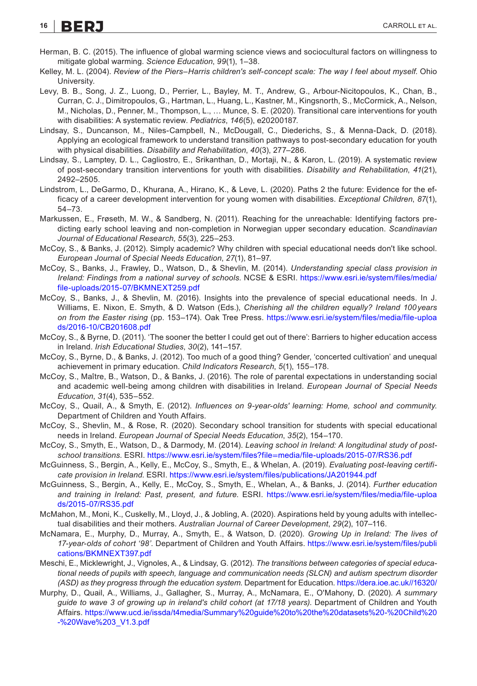### **16 BERJ CARROLL ET AL.**

- <span id="page-15-21"></span>Herman, B. C. (2015). The influence of global warming science views and sociocultural factors on willingness to mitigate global warming. *Science Education*, *99*(1), 1–38.
- <span id="page-15-15"></span>Kelley, M. L. (2004). *Review of the Piers–Harris children's self-concept scale: The way I feel about myself*. Ohio University.
- <span id="page-15-5"></span>Levy, B. B., Song, J. Z., Luong, D., Perrier, L., Bayley, M. T., Andrew, G., Arbour-Nicitopoulos, K., Chan, B., Curran, C. J., Dimitropoulos, G., Hartman, L., Huang, L., Kastner, M., Kingsnorth, S., McCormick, A., Nelson, M., Nicholas, D., Penner, M., Thompson, L., … Munce, S. E. (2020). Transitional care interventions for youth with disabilities: A systematic review. *Pediatrics*, *146*(5), e20200187.
- <span id="page-15-10"></span>Lindsay, S., Duncanson, M., Niles-Campbell, N., McDougall, C., Diederichs, S., & Menna-Dack, D. (2018). Applying an ecological framework to understand transition pathways to post-secondary education for youth with physical disabilities. *Disability and Rehabilitation*, *40*(3), 277–286.
- <span id="page-15-4"></span>Lindsay, S., Lamptey, D. L., Cagliostro, E., Srikanthan, D., Mortaji, N., & Karon, L. (2019). A systematic review of post-secondary transition interventions for youth with disabilities. *Disability and Rehabilitation*, *41*(21), 2492–2505.
- <span id="page-15-0"></span>Lindstrom, L., DeGarmo, D., Khurana, A., Hirano, K., & Leve, L. (2020). Paths 2 the future: Evidence for the efficacy of a career development intervention for young women with disabilities. *Exceptional Children*, *87*(1), 54–73.
- <span id="page-15-6"></span>Markussen, E., Frøseth, M. W., & Sandberg, N. (2011). Reaching for the unreachable: Identifying factors predicting early school leaving and non-completion in Norwegian upper secondary education. *Scandinavian Journal of Educational Research*, *55*(3), 225–253.
- <span id="page-15-1"></span>McCoy, S., & Banks, J. (2012). Simply academic? Why children with special educational needs don't like school. *European Journal of Special Needs Education*, *27*(1), 81–97.
- <span id="page-15-8"></span>McCoy, S., Banks, J., Frawley, D., Watson, D., & Shevlin, M. (2014). *Understanding special class provision in Ireland: Findings from a national survey of schools*. NCSE & ESRI. [https://www.esri.ie/system/files/media/](https://www.esri.ie/system/files/media/file-uploads/2015-07/BKMNEXT259.pdf) [file-uploads/2015-07/BKMNEXT259.pdf](https://www.esri.ie/system/files/media/file-uploads/2015-07/BKMNEXT259.pdf)
- <span id="page-15-9"></span>McCoy, S., Banks, J., & Shevlin, M. (2016). Insights into the prevalence of special educational needs. In J. Williams, E. Nixon, E. Smyth, & D. Watson (Eds.), *Cherishing all the children equally? Ireland 100years on from the Easter rising* (pp. 153–174). Oak Tree Press. [https://www.esri.ie/system/files/media/file-uploa](https://www.esri.ie/system/files/media/file-uploads/2016-10/CB201608.pdf) [ds/2016-10/CB201608.pdf](https://www.esri.ie/system/files/media/file-uploads/2016-10/CB201608.pdf)
- <span id="page-15-18"></span>McCoy, S., & Byrne, D. (2011). 'The sooner the better I could get out of there': Barriers to higher education access in Ireland. *Irish Educational Studies*, *30*(2), 141–157.
- <span id="page-15-20"></span>McCoy, S., Byrne, D., & Banks, J. (2012). Too much of a good thing? Gender, 'concerted cultivation' and unequal achievement in primary education. *Child Indicators Research*, *5*(1), 155–178.
- <span id="page-15-14"></span>McCoy, S., Maître, B., Watson, D., & Banks, J. (2016). The role of parental expectations in understanding social and academic well-being among children with disabilities in Ireland. *European Journal of Special Needs Education*, *31*(4), 535–552.
- <span id="page-15-16"></span>McCoy, S., Quail, A., & Smyth, E. (2012). *Influences on 9-year-olds' learning: Home, school and community*. Department of Children and Youth Affairs.
- <span id="page-15-2"></span>McCoy, S., Shevlin, M., & Rose, R. (2020). Secondary school transition for students with special educational needs in Ireland. *European Journal of Special Needs Education*, *35*(2), 154–170.
- <span id="page-15-3"></span>McCoy, S., Smyth, E., Watson, D., & Darmody, M. (2014). *Leaving school in Ireland: A longitudinal study of postschool transitions*. ESRI. https://www.esri.ie/system/files?file=[media/file-uploads/2015-07/RS36.pdf](https://www.esri.ie/system/files?file=media/file-uploads/2015-07/RS36.pdf)
- <span id="page-15-17"></span>McGuinness, S., Bergin, A., Kelly, E., McCoy, S., Smyth, E., & Whelan, A. (2019). *Evaluating post-leaving certificate provision in Ireland*. ESRI.<https://www.esri.ie/system/files/publications/JA201944.pdf>
- <span id="page-15-13"></span>McGuinness, S., Bergin, A., Kelly, E., McCoy, S., Smyth, E., Whelan, A., & Banks, J. (2014). *Further education and training in Ireland: Past, present, and future*. ESRI. [https://www.esri.ie/system/files/media/file-uploa](https://www.esri.ie/system/files/media/file-uploads/2015-07/RS35.pdf) [ds/2015-07/RS35.pdf](https://www.esri.ie/system/files/media/file-uploads/2015-07/RS35.pdf)
- <span id="page-15-7"></span>McMahon, M., Moni, K., Cuskelly, M., Lloyd, J., & Jobling, A. (2020). Aspirations held by young adults with intellectual disabilities and their mothers. *Australian Journal of Career Development*, *29*(2), 107–116.
- <span id="page-15-11"></span>McNamara, E., Murphy, D., Murray, A., Smyth, E., & Watson, D. (2020). *Growing Up in Ireland: The lives of 17-year-olds of cohort '98'*. Department of Children and Youth Affairs. [https://www.esri.ie/system/files/publi](https://www.esri.ie/system/files/publications/BKMNEXT397.pdf) [cations/BKMNEXT397.pdf](https://www.esri.ie/system/files/publications/BKMNEXT397.pdf)
- <span id="page-15-19"></span>Meschi, E., Micklewright, J., Vignoles, A., & Lindsay, G. (2012). *The transitions between categories of special educational needs of pupils with speech, language and communication needs (SLCN) and autism spectrum disorder (ASD) as they progress through the education system*. Department for Education. <https://dera.ioe.ac.uk//16320/>
- <span id="page-15-12"></span>Murphy, D., Quail, A., Williams, J., Gallagher, S., Murray, A., McNamara, E., O'Mahony, D. (2020). *A summary guide to wave 3 of growing up in ireland's child cohort (at 17/18 years)*. Department of Children and Youth Affairs. [https://www.ucd.ie/issda/t4media/Summary%20guide%20to%20the%20datasets%20-%20Child%20](https://www.ucd.ie/issda/t4media/Summaryguidetothedatasets-Child-Wave3_V1.3.pdf) [-%20Wave%203\\_V1.3.pdf](https://www.ucd.ie/issda/t4media/Summaryguidetothedatasets-Child-Wave3_V1.3.pdf)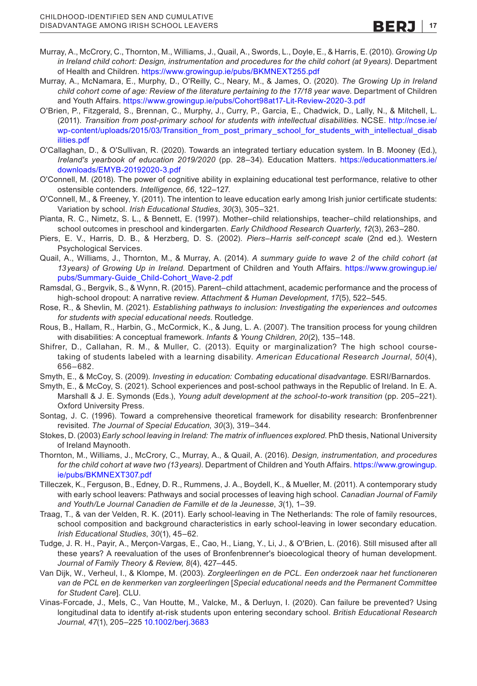- <span id="page-16-13"></span>Murray, A., McCrory, C., Thornton, M., Williams, J., Quail, A., Swords, L., Doyle, E., & Harris, E. (2010). *Growing Up in Ireland child cohort: Design, instrumentation and procedures for the child cohort (at 9years)*. Department of Health and Children. <https://www.growingup.ie/pubs/BKMNEXT255.pdf>
- <span id="page-16-2"></span>Murray, A., McNamara, E., Murphy, D., O'Reilly, C., Neary, M., & James, O. (2020). *The Growing Up in Ireland child cohort come of age: Review of the literature pertaining to the 17/18 year wave*. Department of Children and Youth Affairs.<https://www.growingup.ie/pubs/Cohort98at17-Lit-Review-2020-3.pdf>
- <span id="page-16-9"></span>O'Brien, P., Fitzgerald, S., Brennan, C., Murphy, J., Curry, P., Garcia, E., Chadwick, D., Lally, N., & Mitchell, L. (2011). *Transition from post-primary school for students with intellectual disabilities*. NCSE. [http://ncse.ie/](http://ncse.ie/wp-content/uploads/2015/03/Transition_from_post_primary_school_for_students_with_intellectual_disabilities.pdf) [wp-content/uploads/2015/03/Transition\\_from\\_post\\_primary\\_school\\_for\\_students\\_with\\_intellectual\\_disab](http://ncse.ie/wp-content/uploads/2015/03/Transition_from_post_primary_school_for_students_with_intellectual_disabilities.pdf) [ilities.pdf](http://ncse.ie/wp-content/uploads/2015/03/Transition_from_post_primary_school_for_students_with_intellectual_disabilities.pdf)
- <span id="page-16-22"></span>O'Callaghan, D., & O'Sullivan, R. (2020). Towards an integrated tertiary education system. In B. Mooney (Ed.), *Ireland's yearbook of education 2019/2020* (pp. 28–34). Education Matters. [https://educationmatters.ie/](https://educationmatters.ie/downloads/EMYB-20192020-3.pdf) [downloads/EMYB-20192020-3.pdf](https://educationmatters.ie/downloads/EMYB-20192020-3.pdf)
- <span id="page-16-20"></span>O'Connell, M. (2018). The power of cognitive ability in explaining educational test performance, relative to other ostensible contenders. *Intelligence*, *66*, 122–127.
- <span id="page-16-3"></span>O'Connell, M., & Freeney, Y. (2011). The intention to leave education early among Irish junior certificate students: Variation by school. *Irish Educational Studies*, *30*(3), 305–321.
- <span id="page-16-15"></span>Pianta, R. C., Nimetz, S. L., & Bennett, E. (1997). Mother–child relationships, teacher–child relationships, and school outcomes in preschool and kindergarten. *Early Childhood Research Quarterly*, *12*(3), 263–280.
- <span id="page-16-17"></span>Piers, E. V., Harris, D. B., & Herzberg, D. S. (2002). *Piers–Harris self-concept scale* (2nd ed.). Western Psychological Services.
- <span id="page-16-14"></span>Quail, A., Williams, J., Thornton, M., & Murray, A. (2014). *A summary guide to wave 2 of the child cohort (at 13years) of Growing Up in Ireland*. Department of Children and Youth Affairs. [https://www.growingup.ie/](https://www.growingup.ie/pubs/Summary-Guide_Child-Cohort_Wave-2.pdf) [pubs/Summary-Guide\\_Child-Cohort\\_Wave-2.pdf](https://www.growingup.ie/pubs/Summary-Guide_Child-Cohort_Wave-2.pdf)
- <span id="page-16-4"></span>Ramsdal, G., Bergvik, S., & Wynn, R. (2015). Parent–child attachment, academic performance and the process of high-school dropout: A narrative review. *Attachment & Human Development*, *17*(5), 522–545.
- <span id="page-16-1"></span>Rose, R., & Shevlin, M. (2021). *Establishing pathways to inclusion: Investigating the experiences and outcomes for students with special educational needs*. Routledge.
- <span id="page-16-10"></span>Rous, B., Hallam, R., Harbin, G., McCormick, K., & Jung, L. A. (2007). The transition process for young children with disabilities: A conceptual framework. *Infants & Young Children*, *20*(2), 135–148.
- <span id="page-16-0"></span>Shifrer, D., Callahan, R. M., & Muller, C. (2013). Equity or marginalization? The high school coursetaking of students labeled with a learning disability. *American Educational Research Journal*, *50*(4), 656–682.
- <span id="page-16-7"></span>Smyth, E., & McCoy, S. (2009). *Investing in education: Combating educational disadvantage*. ESRI/Barnardos.
- <span id="page-16-18"></span>Smyth, E., & McCoy, S. (2021). School experiences and post-school pathways in the Republic of Ireland. In E. A. Marshall & J. E. Symonds (Eds.), *Young adult development at the school-to-work transition* (pp. 205–221). Oxford University Press.
- <span id="page-16-11"></span>Sontag, J. C. (1996). Toward a comprehensive theoretical framework for disability research: Bronfenbrenner revisited. *The Journal of Special Education*, *30*(3), 319–344.
- <span id="page-16-8"></span>Stokes, D. (2003) *Early school leaving in Ireland: The matrix of influences explored*. PhD thesis, National University of Ireland Maynooth.
- <span id="page-16-16"></span>Thornton, M., Williams, J., McCrory, C., Murray, A., & Quail, A. (2016). *Design, instrumentation, and procedures for the child cohort at wave two (13years)*. Department of Children and Youth Affairs. [https://www.growingup.](https://www.growingup.ie/pubs/BKMNEXT307.pdf) [ie/pubs/BKMNEXT307.pdf](https://www.growingup.ie/pubs/BKMNEXT307.pdf)
- <span id="page-16-5"></span>Tilleczek, K., Ferguson, B., Edney, D. R., Rummens, J. A., Boydell, K., & Mueller, M. (2011). A contemporary study with early school leavers: Pathways and social processes of leaving high school. *Canadian Journal of Family and Youth/Le Journal Canadien de Famille et de la Jeunesse*, *3*(1), 1–39.
- <span id="page-16-6"></span>Traag, T., & van der Velden, R. K. (2011). Early school-leaving in The Netherlands: The role of family resources, school composition and background characteristics in early school-leaving in lower secondary education. *Irish Educational Studies*, *30*(1), 45–62.
- <span id="page-16-12"></span>Tudge, J. R. H., Payir, A., Merçon-Vargas, E., Cao, H., Liang, Y., Li, J., & O'Brien, L. (2016). Still misused after all these years? A reevaluation of the uses of Bronfenbrenner's bioecological theory of human development. *Journal of Family Theory & Review*, *8*(4), 427–445.
- <span id="page-16-19"></span>Van Dijk, W., Verheul, I., & Klompe, M. (2003). *Zorgleerlingen en de PCL. Een onderzoek naar het functioneren van de PCL en de kenmerken van zorgleerlingen* [*Special educational needs and the Permanent Committee for Student Care*]. CLU.
- <span id="page-16-21"></span>Vinas-Forcade, J., Mels, C., Van Houtte, M., Valcke, M., & Derluyn, I. (2020). Can failure be prevented? Using longitudinal data to identify at-risk students upon entering secondary school. *British Educational Research Journal*, *47*(1), 205–225 [10.1002/berj.3683](https://doi.org/10.1002/berj.3683)